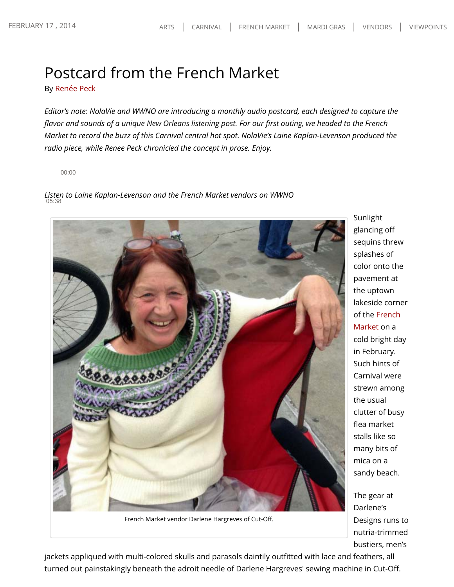## Postcard from the French Market

By Renée Peck

*Editor's note: NolaVie and WWNO are introducing a monthly audio postcard, each designed to capture the flavor and sounds of a unique New Orleans listening post. For our first outing, we headed to the French Market to record the buzz of this Carnival central hot spot. NolaVie's Laine Kaplan-Levenson produced the radio piece, while Renee Peck chronicled the concept in prose. Enjoy.*

00:00

*Listen to Laine Kaplan-Levenson and the French Market vendors on WWNO* 05:38



French Market vendor Darlene Hargreves of Cut-Off.

jackets appliqued with multi-colored skulls and parasols daintily outfitted with lace and feathers, all turned out painstakingly beneath the adroit needle of Darlene Hargreves' sewing machine in Cut-Off.

Sunlight glancing off sequins threw splashes of color onto the pavement at the uptown lakeside corner of the French Market on a cold bright day in February. Such hints of Carnival were strewn among the usual clutter of busy flea market stalls like so many bits of mica on a sandy beach.

The gear at Darlene's Designs runs to nutria-trimmed bustiers, men's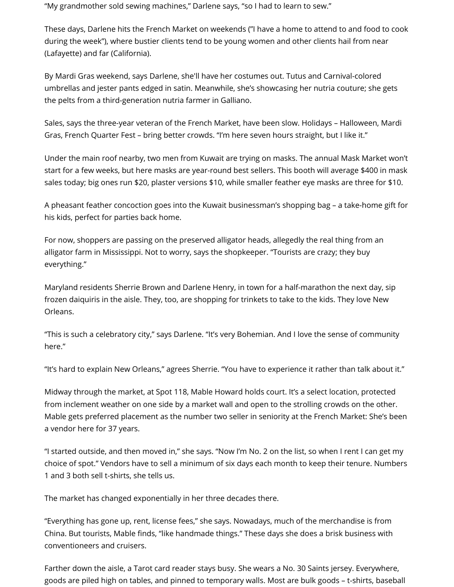"My grandmother sold sewing machines," Darlene says, "so I had to learn to sew."

These days, Darlene hits the French Market on weekends ("I have a home to attend to and food to cook during the week"), where bustier clients tend to be young women and other clients hail from near (Lafayette) and far (California).

By Mardi Gras weekend, says Darlene, she'll have her costumes out. Tutus and Carnival-colored umbrellas and jester pants edged in satin. Meanwhile, she's showcasing her nutria couture; she gets the pelts from a third-generation nutria farmer in Galliano.

Sales, says the three-year veteran of the French Market, have been slow. Holidays – Halloween, Mardi Gras, French Quarter Fest – bring better crowds. "I'm here seven hours straight, but I like it."

Under the main roof nearby, two men from Kuwait are trying on masks. The annual Mask Market won't start for a few weeks, but here masks are year-round best sellers. This booth will average \$400 in mask sales today; big ones run \$20, plaster versions \$10, while smaller feather eye masks are three for \$10.

A pheasant feather concoction goes into the Kuwait businessman's shopping bag – a take-home gift for his kids, perfect for parties back home.

For now, shoppers are passing on the preserved alligator heads, allegedly the real thing from an alligator farm in Mississippi. Not to worry, says the shopkeeper. "Tourists are crazy; they buy everything."

Maryland residents Sherrie Brown and Darlene Henry, in town for a half-marathon the next day, sip frozen daiquiris in the aisle. They, too, are shopping for trinkets to take to the kids. They love New Orleans.

"This is such a celebratory city," says Darlene. "It's very Bohemian. And I love the sense of community here."

"It's hard to explain New Orleans," agrees Sherrie. "You have to experience it rather than talk about it."

Midway through the market, at Spot 118, Mable Howard holds court. It's a select location, protected from inclement weather on one side by a market wall and open to the strolling crowds on the other. Mable gets preferred placement as the number two seller in seniority at the French Market: She's been a vendor here for 37 years.

"I started outside, and then moved in," she says. "Now I'm No. 2 on the list, so when I rent I can get my choice of spot." Vendors have to sell a minimum of six days each month to keep their tenure. Numbers 1 and 3 both sell t-shirts, she tells us.

The market has changed exponentially in her three decades there.

"Everything has gone up, rent, license fees," she says. Nowadays, much of the merchandise is from China. But tourists, Mable finds, "like handmade things." These days she does a brisk business with conventioneers and cruisers.

Farther down the aisle, a Tarot card reader stays busy. She wears a No. 30 Saints jersey. Everywhere, goods are piled high on tables, and pinned to temporary walls. Most are bulk goods – t-shirts, baseball